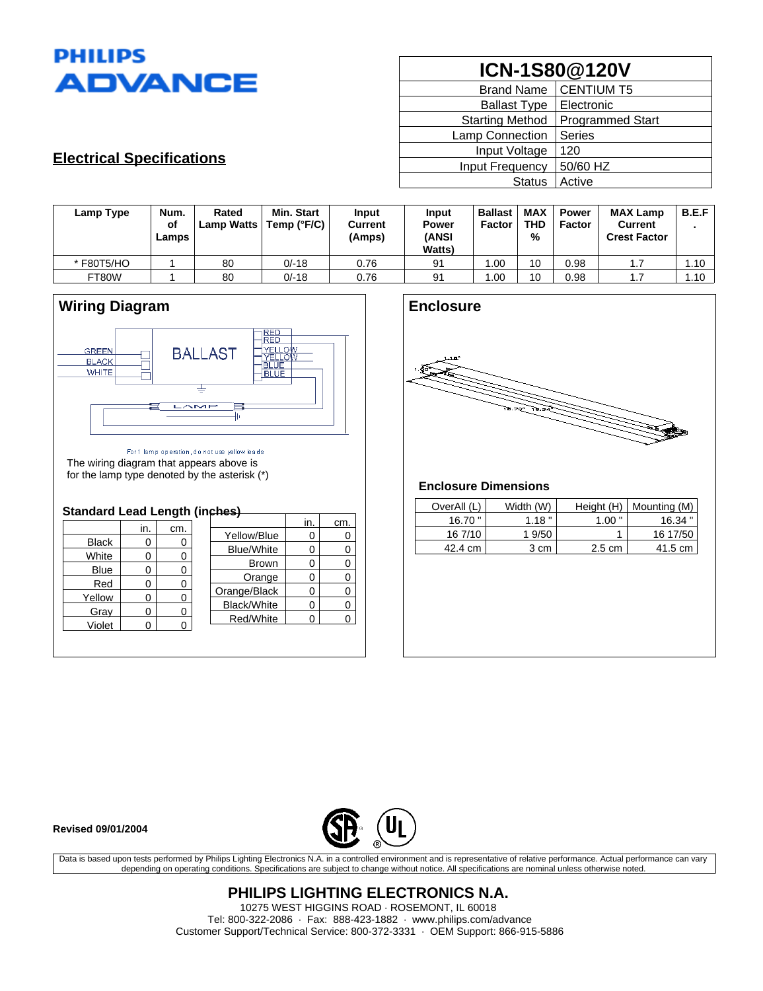

| ICN-1S80@120V          |                         |  |  |  |
|------------------------|-------------------------|--|--|--|
| <b>Brand Name</b>      | <b>CENTIUM T5</b>       |  |  |  |
| <b>Ballast Type</b>    | Electronic              |  |  |  |
| <b>Starting Method</b> | <b>Programmed Start</b> |  |  |  |
| Lamp Connection        | <b>Series</b>           |  |  |  |
| Input Voltage          | 120                     |  |  |  |
| Input Frequency        | 50/60 HZ                |  |  |  |
| <b>Status</b>          | Active                  |  |  |  |

## **Electrical Specifications**

| Lamp Type  | Num.<br>of<br>Lamps | Rated<br><b>Lamp Watts</b> | Min. Start<br>Temp (°F/C) | Input<br><b>Current</b><br>(Amps) | Input<br><b>Power</b><br><b>(ANSI</b><br><b>Watts</b> ) | <b>Ballast</b><br><b>Factor</b> | MAX<br><b>THD</b><br>% | <b>Power</b><br><b>Factor</b> | <b>MAX Lamp</b><br><b>Current</b><br><b>Crest Factor</b> | B.E.F |
|------------|---------------------|----------------------------|---------------------------|-----------------------------------|---------------------------------------------------------|---------------------------------|------------------------|-------------------------------|----------------------------------------------------------|-------|
| * F80T5/HO |                     | 80                         | $0/-18$                   | 0.76                              | 91                                                      | 00. ا                           | 10                     | 0.98                          | 1.7                                                      | 1.10  |
| FT80W      |                     | 80                         | $0/-18$                   | 0.76                              | 91                                                      | .00                             | 10                     | 0.98                          | 1.7                                                      | 1.10  |



For 1 lamp operation, do not use yellow leads The wiring diagram that appears above is for the lamp type denoted by the asterisk (\*)

### **Standard Lead Length (inches)**

|              | in. |     |                   | in. | cm. |
|--------------|-----|-----|-------------------|-----|-----|
|              |     | cm. | Yellow/Blue       | 0   |     |
| <b>Black</b> | U   |     | <b>Blue/White</b> |     |     |
| White        | 0   |     |                   |     |     |
| <b>Blue</b>  | 0   |     | <b>Brown</b>      |     |     |
|              |     |     | Orange            |     |     |
| Red          | 0   |     | Orange/Black      |     |     |
| Yellow       | O   |     |                   |     |     |
| Gray         | 0   |     | Black/White       |     |     |
|              |     |     | Red/White         |     |     |
| Violet       |     |     |                   |     |     |
|              |     |     |                   |     |     |



### **Enclosure Dimensions**

| OverAll (L) | Width (W) |                  | Height $(H)$   Mounting $(M)$ |
|-------------|-----------|------------------|-------------------------------|
| $16.70$ "   | 1.18"     | $1.00$ "         | 16.34                         |
| 16 7/10     | 1 9/50    |                  | 16 17/50                      |
| 42.4 cm     | 3 cm      | $2.5 \text{ cm}$ | 41.5 cm                       |

### **Revised 09/01/2004**



Data is based upon tests performed by Philips Lighting Electronics N.A. in a controlled environment and is representative of relative performance. Actual performance can vary depending on operating conditions. Specifications are subject to change without notice. All specifications are nominal unless otherwise noted.

> **PHILIPS LIGHTING ELECTRONICS N.A.** 10275 WEST HIGGINS ROAD · ROSEMONT, IL 60018 Tel: 800-322-2086 · Fax: 888-423-1882 · www.philips.com/advance Customer Support/Technical Service: 800-372-3331 · OEM Support: 866-915-5886